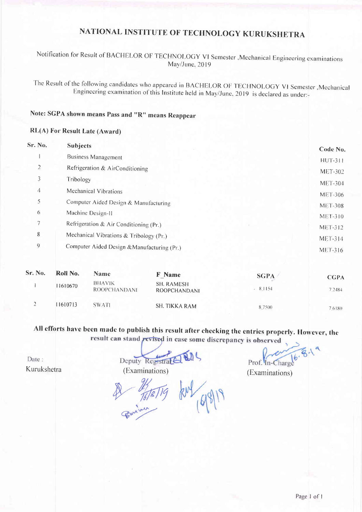# NATIONAL INSTITUTE OF TECHNOLOGY KURUKSHETRA

### Notification for Result of BACHELOR OF TECHNOLOGY VI Semester , Mechanical Engineering examinations May/June, 2019

The Result of the following candidates who appeared in BACHELOR OF TECHNOLOGY VI Semester, Mechanical Engineering examination of this Institute held in May/June, 2019 is declared as under:-

### Note: SGPA shown means Pass and "R" means Reappear

### RL(A) For Result Late (Award)

| Sr. No. | <b>Subjects</b>                                                                        |                                                 |                | Code No.       |
|---------|----------------------------------------------------------------------------------------|-------------------------------------------------|----------------|----------------|
|         | <b>Business Management</b>                                                             |                                                 |                | <b>HUT-311</b> |
| 2       | Refrigeration & AirConditioning                                                        |                                                 | <b>MET-302</b> |                |
| 3       | Tribology                                                                              |                                                 | <b>MET-304</b> |                |
| 4       | Mechanical Vibrations                                                                  |                                                 | <b>MET-306</b> |                |
| 5       | Computer Aided Design & Manufacturing                                                  |                                                 |                | <b>MET-308</b> |
| 6       | Machine Design-II                                                                      |                                                 | <b>MET-310</b> |                |
| 7       | Refrigeration & Air Conditioning (Pr.)                                                 |                                                 | <b>MET-312</b> |                |
| 8       | Mechanical Vibrations & Tribology (Pr.)<br>Computer Aided Design & Manufacturing (Pr.) |                                                 |                | <b>MET-314</b> |
| 9       |                                                                                        |                                                 | <b>MET-316</b> |                |
| Sr. No. | Roll No.<br><b>Name</b>                                                                | <b>F</b> Name                                   | <b>SGPA</b>    | <b>CGPA</b>    |
|         | D11A1117                                                                               | $\sigma$ and $\sigma$ are a second and $\sigma$ |                |                |

| 1610670 | <b>BHAVIK</b><br><b>ROOPCHANDANI</b> | SH. RAMESH<br>ROOPCHANDANI | <u>UNLA</u><br>8.1154 | CUPA<br>7.2484 |
|---------|--------------------------------------|----------------------------|-----------------------|----------------|
| 1610713 | SWATI                                | <b>SH. TIKKA RAM</b>       | 8.7500                | 7.6180         |

## All efforts have been made to publish this result after checking the entries properly. However, the result can stand revised in case some discrepancy is observed

Date: Kurukshetra

Deputy Registral

Prof. In-Charge

(Examinations)

Report of 18/19

(Examinations)